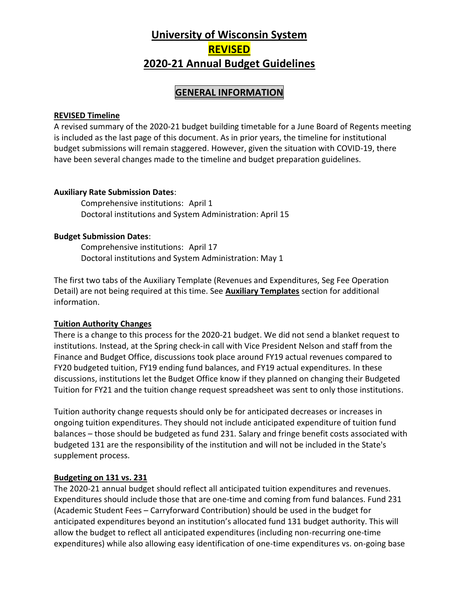# **University of Wisconsin System REVISED 2020-21 Annual Budget Guidelines**

### **GENERAL INFORMATION**

#### **REVISED Timeline**

A revised summary of the 2020-21 budget building timetable for a June Board of Regents meeting is included as the last page of this document. As in prior years, the timeline for institutional budget submissions will remain staggered. However, given the situation with COVID-19, there have been several changes made to the timeline and budget preparation guidelines.

#### **Auxiliary Rate Submission Dates**:

Comprehensive institutions: April 1 Doctoral institutions and System Administration: April 15

#### **Budget Submission Dates**:

Comprehensive institutions: April 17 Doctoral institutions and System Administration: May 1

The first two tabs of the Auxiliary Template (Revenues and Expenditures, Seg Fee Operation Detail) are not being required at this time. See **Auxiliary Templates** section for additional information.

#### **Tuition Authority Changes**

There is a change to this process for the 2020-21 budget. We did not send a blanket request to institutions. Instead, at the Spring check-in call with Vice President Nelson and staff from the Finance and Budget Office, discussions took place around FY19 actual revenues compared to FY20 budgeted tuition, FY19 ending fund balances, and FY19 actual expenditures. In these discussions, institutions let the Budget Office know if they planned on changing their Budgeted Tuition for FY21 and the tuition change request spreadsheet was sent to only those institutions.

Tuition authority change requests should only be for anticipated decreases or increases in ongoing tuition expenditures. They should not include anticipated expenditure of tuition fund balances – those should be budgeted as fund 231. Salary and fringe benefit costs associated with budgeted 131 are the responsibility of the institution and will not be included in the State's supplement process.

#### **Budgeting on 131 vs. 231**

The 2020-21 annual budget should reflect all anticipated tuition expenditures and revenues. Expenditures should include those that are one-time and coming from fund balances. Fund 231 (Academic Student Fees – Carryforward Contribution) should be used in the budget for anticipated expenditures beyond an institution's allocated fund 131 budget authority. This will allow the budget to reflect all anticipated expenditures (including non-recurring one-time expenditures) while also allowing easy identification of one-time expenditures vs. on-going base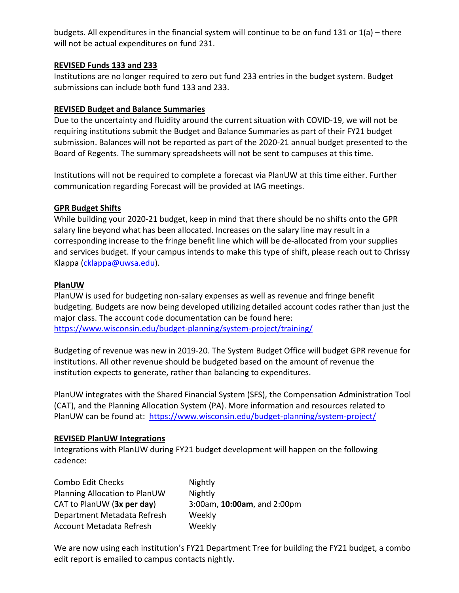budgets. All expenditures in the financial system will continue to be on fund 131 or 1(a) – there will not be actual expenditures on fund 231.

#### **REVISED Funds 133 and 233**

Institutions are no longer required to zero out fund 233 entries in the budget system. Budget submissions can include both fund 133 and 233.

#### **REVISED Budget and Balance Summaries**

Due to the uncertainty and fluidity around the current situation with COVID-19, we will not be requiring institutions submit the Budget and Balance Summaries as part of their FY21 budget submission. Balances will not be reported as part of the 2020-21 annual budget presented to the Board of Regents. The summary spreadsheets will not be sent to campuses at this time.

Institutions will not be required to complete a forecast via PlanUW at this time either. Further communication regarding Forecast will be provided at IAG meetings.

#### **GPR Budget Shifts**

While building your 2020-21 budget, keep in mind that there should be no shifts onto the GPR salary line beyond what has been allocated. Increases on the salary line may result in a corresponding increase to the fringe benefit line which will be de-allocated from your supplies and services budget. If your campus intends to make this type of shift, please reach out to Chrissy Klappa [\(cklappa@uwsa.edu\)](mailto:cklappa@uwsa.edu).

#### **PlanUW**

PlanUW is used for budgeting non-salary expenses as well as revenue and fringe benefit budgeting. Budgets are now being developed utilizing detailed account codes rather than just the major class. The account code documentation can be found here: <https://www.wisconsin.edu/budget-planning/system-project/training/>

Budgeting of revenue was new in 2019-20. The System Budget Office will budget GPR revenue for institutions. All other revenue should be budgeted based on the amount of revenue the institution expects to generate, rather than balancing to expenditures.

PlanUW integrates with the Shared Financial System (SFS), the Compensation Administration Tool (CAT), and the Planning Allocation System (PA). More information and resources related to PlanUW can be found at: <https://www.wisconsin.edu/budget-planning/system-project/>

#### **REVISED PlanUW Integrations**

Integrations with PlanUW during FY21 budget development will happen on the following cadence:

| Combo Edit Checks             | Nightly                     |
|-------------------------------|-----------------------------|
| Planning Allocation to PlanUW | Nightly                     |
| CAT to PlanUW (3x per day)    | 3:00am, 10:00am, and 2:00pm |
| Department Metadata Refresh   | Weekly                      |
| Account Metadata Refresh      | Weekly                      |

We are now using each institution's FY21 Department Tree for building the FY21 budget, a combo edit report is emailed to campus contacts nightly.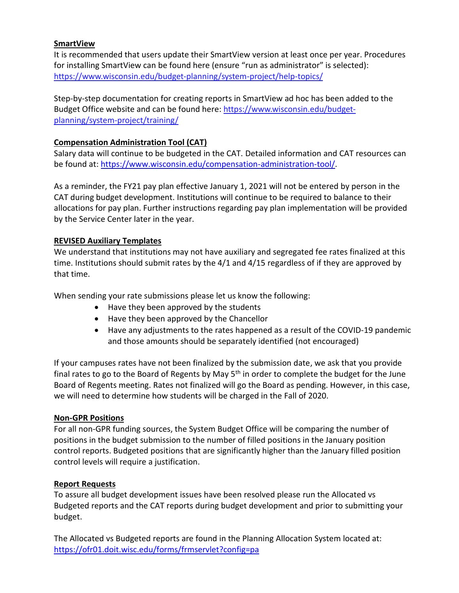#### **SmartView**

It is recommended that users update their SmartView version at least once per year. Procedures for installing SmartView can be found here (ensure "run as administrator" is selected): <https://www.wisconsin.edu/budget-planning/system-project/help-topics/>

Step-by-step documentation for creating reports in SmartView ad hoc has been added to the Budget Office website and can be found here: [https://www.wisconsin.edu/budget](https://www.wisconsin.edu/budget-planning/system-project/training/)[planning/system-project/training/](https://www.wisconsin.edu/budget-planning/system-project/training/)

#### **Compensation Administration Tool (CAT)**

Salary data will continue to be budgeted in the CAT. Detailed information and CAT resources can be found at: [https://www.wisconsin.edu/compensation-administration-tool/.](https://www.wisconsin.edu/compensation-administration-tool/)

As a reminder, the FY21 pay plan effective January 1, 2021 will not be entered by person in the CAT during budget development. Institutions will continue to be required to balance to their allocations for pay plan. Further instructions regarding pay plan implementation will be provided by the Service Center later in the year.

#### **REVISED Auxiliary Templates**

We understand that institutions may not have auxiliary and segregated fee rates finalized at this time. Institutions should submit rates by the 4/1 and 4/15 regardless of if they are approved by that time.

When sending your rate submissions please let us know the following:

- Have they been approved by the students
- Have they been approved by the Chancellor
- Have any adjustments to the rates happened as a result of the COVID-19 pandemic and those amounts should be separately identified (not encouraged)

If your campuses rates have not been finalized by the submission date, we ask that you provide final rates to go to the Board of Regents by May  $5<sup>th</sup>$  in order to complete the budget for the June Board of Regents meeting. Rates not finalized will go the Board as pending. However, in this case, we will need to determine how students will be charged in the Fall of 2020.

#### **Non-GPR Positions**

For all non-GPR funding sources, the System Budget Office will be comparing the number of positions in the budget submission to the number of filled positions in the January position control reports. Budgeted positions that are significantly higher than the January filled position control levels will require a justification.

#### **Report Requests**

To assure all budget development issues have been resolved please run the Allocated vs Budgeted reports and the CAT reports during budget development and prior to submitting your budget.

The Allocated vs Budgeted reports are found in the Planning Allocation System located at: <https://ofr01.doit.wisc.edu/forms/frmservlet?config=pa>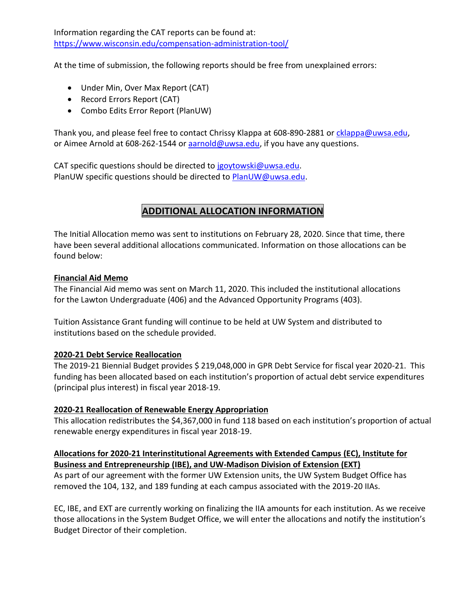Information regarding the CAT reports can be found at: <https://www.wisconsin.edu/compensation-administration-tool/>

At the time of submission, the following reports should be free from unexplained errors:

- Under Min, Over Max Report (CAT)
- Record Errors Report (CAT)
- Combo Edits Error Report (PlanUW)

Thank you, and please feel free to contact Chrissy Klappa at 608-890-2881 or [cklappa@uwsa.edu,](mailto:cklappa@uwsa.edu) or Aimee Arnold at 608-262-1544 or **aarnold@uwsa.edu**, if you have any questions.

CAT specific questions should be directed to [jgoytowski@uwsa.edu.](mailto:jgoytowski@uwsa.edu) PlanUW specific questions should be directed to [PlanUW@uwsa.edu.](mailto:PlanUW@uwsa.edu)

# **ADDITIONAL ALLOCATION INFORMATION**

The Initial Allocation memo was sent to institutions on February 28, 2020. Since that time, there have been several additional allocations communicated. Information on those allocations can be found below:

#### **Financial Aid Memo**

The Financial Aid memo was sent on March 11, 2020. This included the institutional allocations for the Lawton Undergraduate (406) and the Advanced Opportunity Programs (403).

Tuition Assistance Grant funding will continue to be held at UW System and distributed to institutions based on the schedule provided.

#### **2020-21 Debt Service Reallocation**

The 2019-21 Biennial Budget provides \$ 219,048,000 in GPR Debt Service for fiscal year 2020-21. This funding has been allocated based on each institution's proportion of actual debt service expenditures (principal plus interest) in fiscal year 2018-19.

#### **2020-21 Reallocation of Renewable Energy Appropriation**

This allocation redistributes the \$4,367,000 in fund 118 based on each institution's proportion of actual renewable energy expenditures in fiscal year 2018-19.

#### **Allocations for 2020-21 Interinstitutional Agreements with Extended Campus (EC), Institute for Business and Entrepreneurship (IBE), and UW-Madison Division of Extension (EXT)**

As part of our agreement with the former UW Extension units, the UW System Budget Office has removed the 104, 132, and 189 funding at each campus associated with the 2019-20 IIAs.

EC, IBE, and EXT are currently working on finalizing the IIA amounts for each institution. As we receive those allocations in the System Budget Office, we will enter the allocations and notify the institution's Budget Director of their completion.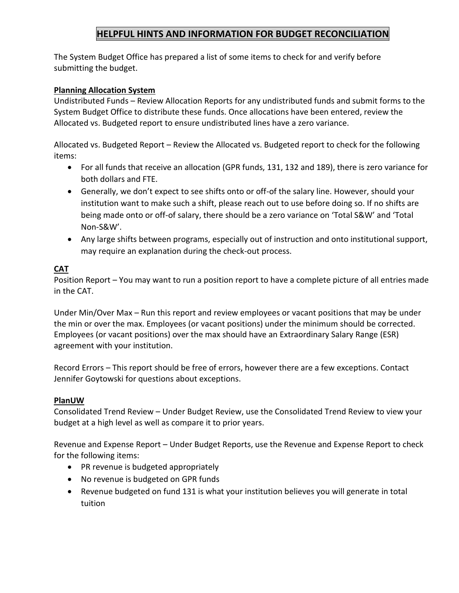### **HELPFUL HINTS AND INFORMATION FOR BUDGET RECONCILIATION**

The System Budget Office has prepared a list of some items to check for and verify before submitting the budget.

#### **Planning Allocation System**

Undistributed Funds – Review Allocation Reports for any undistributed funds and submit forms to the System Budget Office to distribute these funds. Once allocations have been entered, review the Allocated vs. Budgeted report to ensure undistributed lines have a zero variance.

Allocated vs. Budgeted Report – Review the Allocated vs. Budgeted report to check for the following items:

- For all funds that receive an allocation (GPR funds, 131, 132 and 189), there is zero variance for both dollars and FTE.
- Generally, we don't expect to see shifts onto or off-of the salary line. However, should your institution want to make such a shift, please reach out to use before doing so. If no shifts are being made onto or off-of salary, there should be a zero variance on 'Total S&W' and 'Total Non-S&W'.
- Any large shifts between programs, especially out of instruction and onto institutional support, may require an explanation during the check-out process.

#### **CAT**

Position Report – You may want to run a position report to have a complete picture of all entries made in the CAT.

Under Min/Over Max – Run this report and review employees or vacant positions that may be under the min or over the max. Employees (or vacant positions) under the minimum should be corrected. Employees (or vacant positions) over the max should have an Extraordinary Salary Range (ESR) agreement with your institution.

Record Errors – This report should be free of errors, however there are a few exceptions. Contact Jennifer Goytowski for questions about exceptions.

#### **PlanUW**

Consolidated Trend Review – Under Budget Review, use the Consolidated Trend Review to view your budget at a high level as well as compare it to prior years.

Revenue and Expense Report – Under Budget Reports, use the Revenue and Expense Report to check for the following items:

- PR revenue is budgeted appropriately
- No revenue is budgeted on GPR funds
- Revenue budgeted on fund 131 is what your institution believes you will generate in total tuition